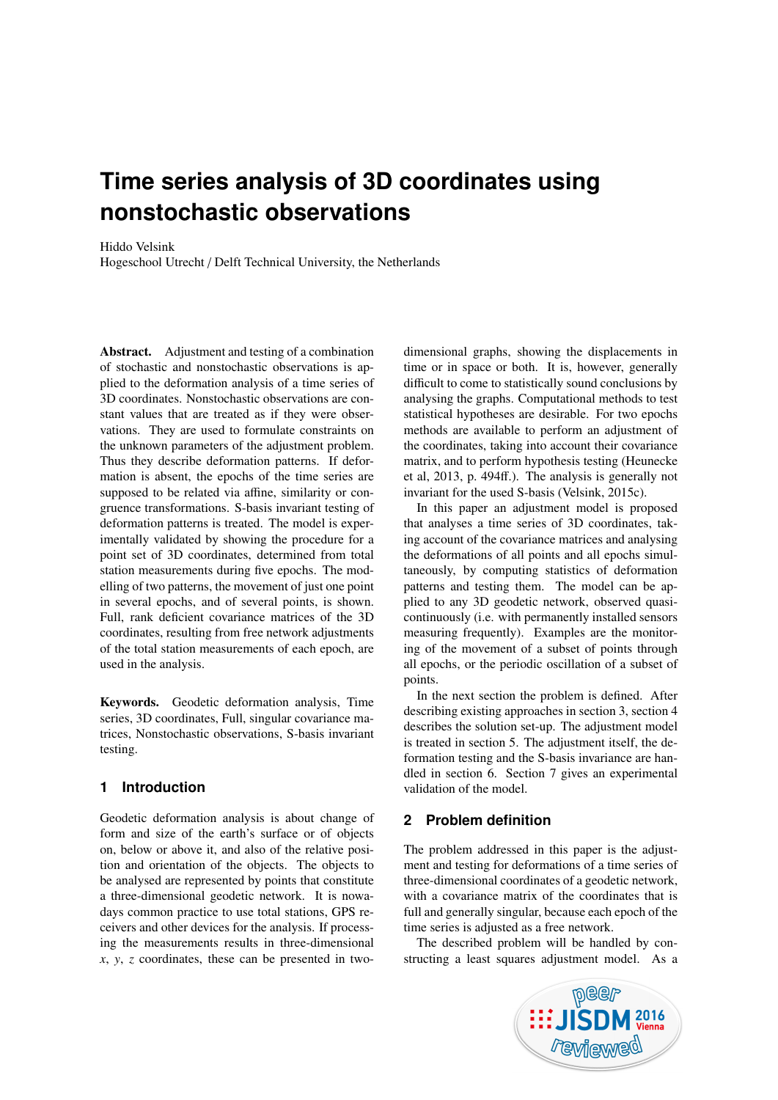# **Time series analysis of 3D coordinates using nonstochastic observations**

## Hiddo Velsink

Hogeschool Utrecht / Delft Technical University, the Netherlands

Abstract. Adjustment and testing of a combination of stochastic and nonstochastic observations is applied to the deformation analysis of a time series of 3D coordinates. Nonstochastic observations are constant values that are treated as if they were observations. They are used to formulate constraints on the unknown parameters of the adjustment problem. Thus they describe deformation patterns. If deformation is absent, the epochs of the time series are supposed to be related via affine, similarity or congruence transformations. S-basis invariant testing of deformation patterns is treated. The model is experimentally validated by showing the procedure for a point set of 3D coordinates, determined from total station measurements during five epochs. The modelling of two patterns, the movement of just one point in several epochs, and of several points, is shown. Full, rank deficient covariance matrices of the 3D coordinates, resulting from free network adjustments of the total station measurements of each epoch, are used in the analysis.

Keywords. Geodetic deformation analysis, Time series, 3D coordinates, Full, singular covariance matrices, Nonstochastic observations, S-basis invariant testing.

# **1 Introduction**

Geodetic deformation analysis is about change of form and size of the earth's surface or of objects on, below or above it, and also of the relative position and orientation of the objects. The objects to be analysed are represented by points that constitute a three-dimensional geodetic network. It is nowadays common practice to use total stations, GPS receivers and other devices for the analysis. If processing the measurements results in three-dimensional *x*, *y*, *z* coordinates, these can be presented in twodimensional graphs, showing the displacements in time or in space or both. It is, however, generally difficult to come to statistically sound conclusions by analysing the graphs. Computational methods to test statistical hypotheses are desirable. For two epochs methods are available to perform an adjustment of the coordinates, taking into account their covariance matrix, and to perform hypothesis testing [\(Heunecke](#page-11-0) [et al,](#page-11-0) [2013,](#page-11-0) p. 494ff.). The analysis is generally not invariant for the used S-basis [\(Velsink,](#page-11-1) [2015c\)](#page-11-1).

In this paper an adjustment model is proposed that analyses a time series of 3D coordinates, taking account of the covariance matrices and analysing the deformations of all points and all epochs simultaneously, by computing statistics of deformation patterns and testing them. The model can be applied to any 3D geodetic network, observed quasicontinuously (i.e. with permanently installed sensors measuring frequently). Examples are the monitoring of the movement of a subset of points through all epochs, or the periodic oscillation of a subset of points.

In the next section the problem is defined. After describing existing approaches in section [3,](#page-1-0) section [4](#page-1-1) describes the solution set-up. The adjustment model is treated in section [5.](#page-3-0) The adjustment itself, the deformation testing and the S-basis invariance are handled in section [6.](#page-7-0) Section [7](#page-9-0) gives an experimental validation of the model.

# **2 Problem definition**

The problem addressed in this paper is the adjustment and testing for deformations of a time series of three-dimensional coordinates of a geodetic network, with a covariance matrix of the coordinates that is full and generally singular, because each epoch of the time series is adjusted as a free network.

The described problem will be handled by constructing a least squares adjustment model. As a

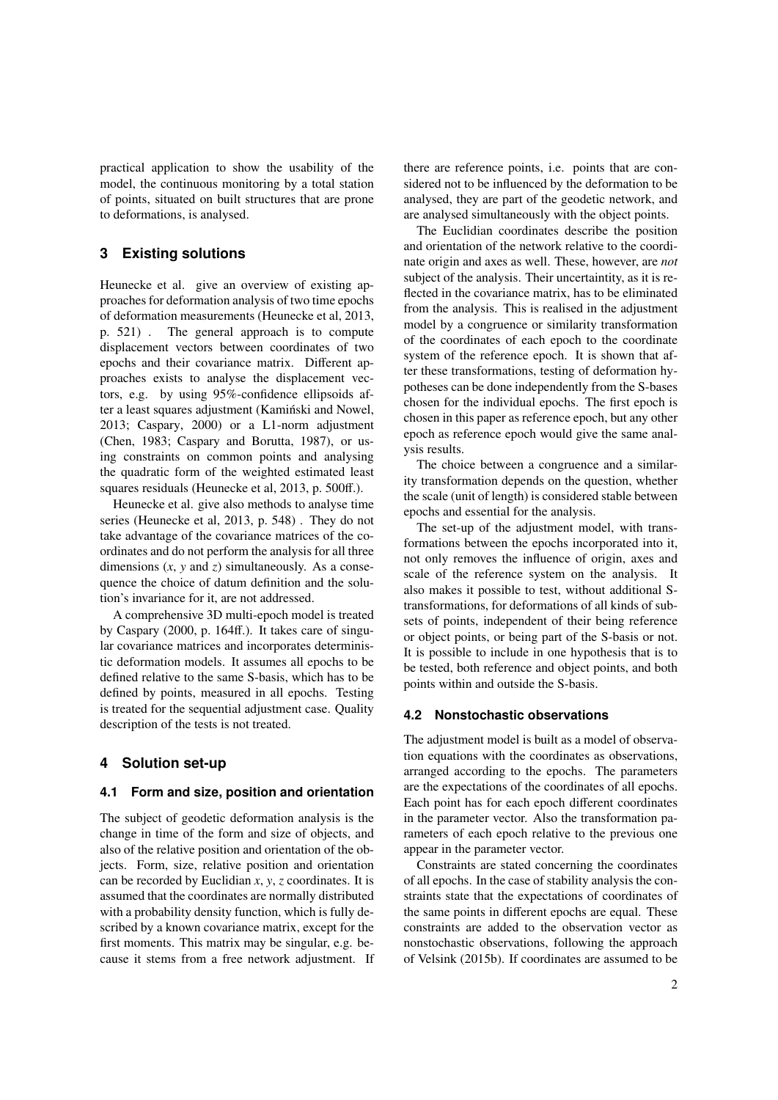practical application to show the usability of the model, the continuous monitoring by a total station of points, situated on built structures that are prone to deformations, is analysed.

# <span id="page-1-0"></span>**3 Existing solutions**

Heunecke et al. give an overview of existing approaches for deformation analysis of two time epochs of deformation measurements [\(Heunecke et al,](#page-11-0) [2013,](#page-11-0) p. 521) . The general approach is to compute displacement vectors between coordinates of two epochs and their covariance matrix. Different approaches exists to analyse the displacement vectors, e.g. by using 95%-confidence ellipsoids after a least squares adjustment (Kamiński and Nowel, [2013;](#page-11-2) [Caspary,](#page-11-3) [2000\)](#page-11-3) or a L1-norm adjustment [\(Chen,](#page-11-4) [1983;](#page-11-4) [Caspary and Borutta,](#page-11-5) [1987\)](#page-11-5), or using constraints on common points and analysing the quadratic form of the weighted estimated least squares residuals [\(Heunecke et al,](#page-11-0) [2013,](#page-11-0) p. 500ff.).

Heunecke et al. give also methods to analyse time series [\(Heunecke et al,](#page-11-0) [2013,](#page-11-0) p. 548) . They do not take advantage of the covariance matrices of the coordinates and do not perform the analysis for all three dimensions  $(x, y \text{ and } z)$  simultaneously. As a consequence the choice of datum definition and the solution's invariance for it, are not addressed.

A comprehensive 3D multi-epoch model is treated by [Caspary](#page-11-3) [\(2000,](#page-11-3) p. 164ff.). It takes care of singular covariance matrices and incorporates deterministic deformation models. It assumes all epochs to be defined relative to the same S-basis, which has to be defined by points, measured in all epochs. Testing is treated for the sequential adjustment case. Quality description of the tests is not treated.

# <span id="page-1-1"></span>**4 Solution set-up**

## **4.1 Form and size, position and orientation**

The subject of geodetic deformation analysis is the change in time of the form and size of objects, and also of the relative position and orientation of the objects. Form, size, relative position and orientation can be recorded by Euclidian *x*, *y*, *z* coordinates. It is assumed that the coordinates are normally distributed with a probability density function, which is fully described by a known covariance matrix, except for the first moments. This matrix may be singular, e.g. because it stems from a free network adjustment. If there are reference points, i.e. points that are considered not to be influenced by the deformation to be analysed, they are part of the geodetic network, and are analysed simultaneously with the object points.

The Euclidian coordinates describe the position and orientation of the network relative to the coordinate origin and axes as well. These, however, are *not* subject of the analysis. Their uncertaintity, as it is reflected in the covariance matrix, has to be eliminated from the analysis. This is realised in the adjustment model by a congruence or similarity transformation of the coordinates of each epoch to the coordinate system of the reference epoch. It is shown that after these transformations, testing of deformation hypotheses can be done independently from the S-bases chosen for the individual epochs. The first epoch is chosen in this paper as reference epoch, but any other epoch as reference epoch would give the same analysis results.

The choice between a congruence and a similarity transformation depends on the question, whether the scale (unit of length) is considered stable between epochs and essential for the analysis.

The set-up of the adjustment model, with transformations between the epochs incorporated into it, not only removes the influence of origin, axes and scale of the reference system on the analysis. It also makes it possible to test, without additional Stransformations, for deformations of all kinds of subsets of points, independent of their being reference or object points, or being part of the S-basis or not. It is possible to include in one hypothesis that is to be tested, both reference and object points, and both points within and outside the S-basis.

## <span id="page-1-2"></span>**4.2 Nonstochastic observations**

The adjustment model is built as a model of observation equations with the coordinates as observations, arranged according to the epochs. The parameters are the expectations of the coordinates of all epochs. Each point has for each epoch different coordinates in the parameter vector. Also the transformation parameters of each epoch relative to the previous one appear in the parameter vector.

Constraints are stated concerning the coordinates of all epochs. In the case of stability analysis the constraints state that the expectations of coordinates of the same points in different epochs are equal. These constraints are added to the observation vector as nonstochastic observations, following the approach of [Velsink](#page-11-6) [\(2015b\)](#page-11-6). If coordinates are assumed to be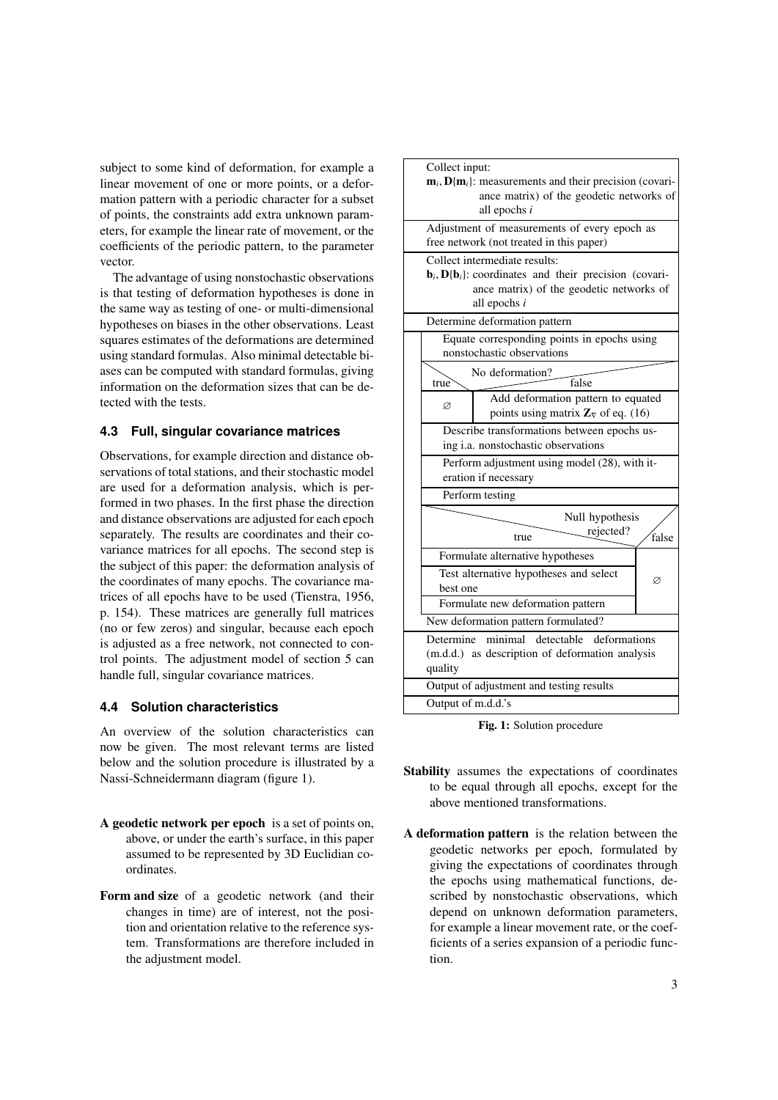subject to some kind of deformation, for example a linear movement of one or more points, or a deformation pattern with a periodic character for a subset of points, the constraints add extra unknown parameters, for example the linear rate of movement, or the coefficients of the periodic pattern, to the parameter vector.

The advantage of using nonstochastic observations is that testing of deformation hypotheses is done in the same way as testing of one- or multi-dimensional hypotheses on biases in the other observations. Least squares estimates of the deformations are determined using standard formulas. Also minimal detectable biases can be computed with standard formulas, giving information on the deformation sizes that can be detected with the tests.

## **4.3 Full, singular covariance matrices**

Observations, for example direction and distance observations of total stations, and their stochastic model are used for a deformation analysis, which is performed in two phases. In the first phase the direction and distance observations are adjusted for each epoch separately. The results are coordinates and their covariance matrices for all epochs. The second step is the subject of this paper: the deformation analysis of the coordinates of many epochs. The covariance matrices of all epochs have to be used [\(Tienstra,](#page-11-7) [1956,](#page-11-7) p. 154). These matrices are generally full matrices (no or few zeros) and singular, because each epoch is adjusted as a free network, not connected to control points. The adjustment model of section [5](#page-3-0) can handle full, singular covariance matrices.

# **4.4 Solution characteristics**

An overview of the solution characteristics can now be given. The most relevant terms are listed below and the solution procedure is illustrated by a Nassi-Schneidermann diagram (figure [1\)](#page-2-0).

- A geodetic network per epoch is a set of points on, above, or under the earth's surface, in this paper assumed to be represented by 3D Euclidian coordinates.
- Form and size of a geodetic network (and their changes in time) are of interest, not the position and orientation relative to the reference system. Transformations are therefore included in the adjustment model.

<span id="page-2-0"></span>

Fig. 1: Solution procedure

- Stability assumes the expectations of coordinates to be equal through all epochs, except for the above mentioned transformations.
- A deformation pattern is the relation between the geodetic networks per epoch, formulated by giving the expectations of coordinates through the epochs using mathematical functions, described by nonstochastic observations, which depend on unknown deformation parameters, for example a linear movement rate, or the coefficients of a series expansion of a periodic function.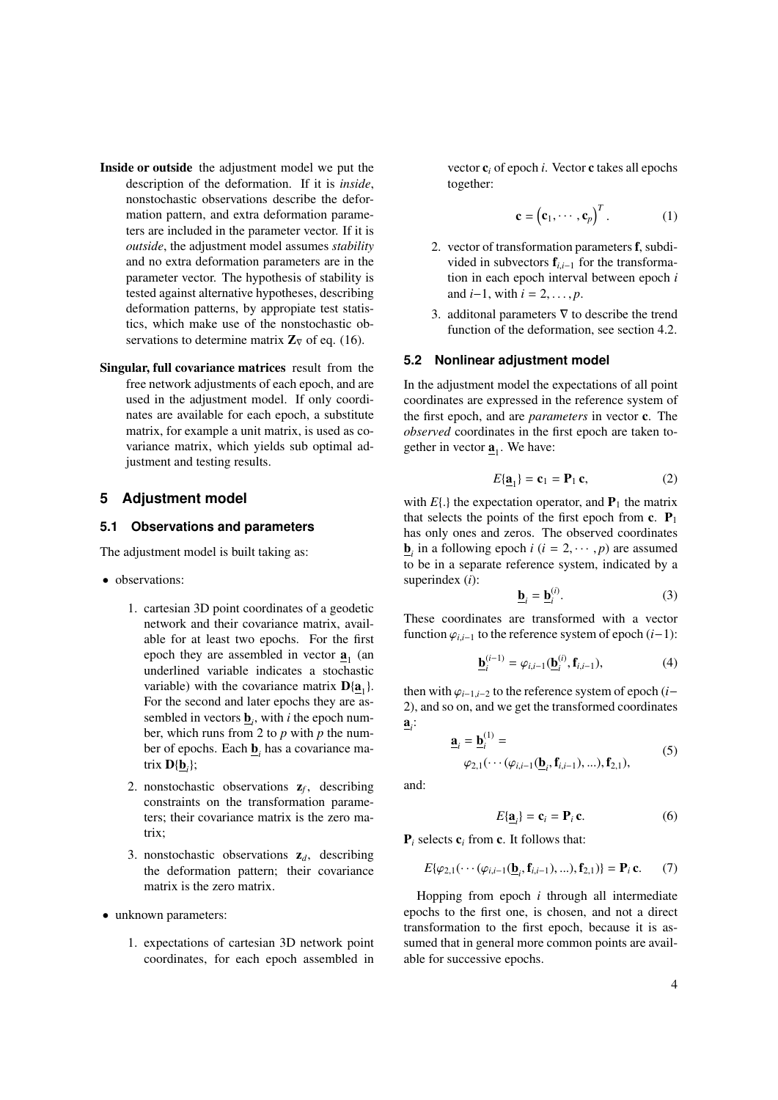- Inside or outside the adjustment model we put the description of the deformation. If it is *inside*, nonstochastic observations describe the deformation pattern, and extra deformation parameters are included in the parameter vector. If it is *outside*, the adjustment model assumes *stability* and no extra deformation parameters are in the parameter vector. The hypothesis of stability is tested against alternative hypotheses, describing deformation patterns, by appropiate test statistics, which make use of the nonstochastic observations to determine matrix  $\mathbb{Z}_{\nabla}$  of eq. [\(16\)](#page-5-0).
- Singular, full covariance matrices result from the free network adjustments of each epoch, and are used in the adjustment model. If only coordinates are available for each epoch, a substitute matrix, for example a unit matrix, is used as covariance matrix, which yields sub optimal adjustment and testing results.

## <span id="page-3-0"></span>**5 Adjustment model**

## <span id="page-3-4"></span>**5.1 Observations and parameters**

The adjustment model is built taking as:

- observations:
	- 1. cartesian 3D point coordinates of a geodetic network and their covariance matrix, available for at least two epochs. For the first epoch they are assembled in vector  $\underline{\mathbf{a}}_1$  (and underlined variable indicates a stochastic variable) with the covariance matrix  $D[\underline{a}_1]$ . For the second and later epochs they are assembled in vectors  $\underline{\mathbf{b}}_i$ , with *i* the epoch number, which runs from 2 to *p* with *p* the number of epochs. Each  $\underline{\mathbf{b}}_i$  has a covariance matrix  $\mathbf{D}\{\underline{\mathbf{b}}_i\}$ ;
	- 2. nonstochastic observations  $z_f$ , describing constraints on the transformation parameters; their covariance matrix is the zero matrix;
	- 3. nonstochastic observations  $z_d$ , describing the deformation pattern; their covariance matrix is the zero matrix.
- unknown parameters:
	- 1. expectations of cartesian 3D network point coordinates, for each epoch assembled in

vector c*<sup>i</sup>* of epoch *i*. Vector c takes all epochs together:

$$
\mathbf{c} = (\mathbf{c}_1, \cdots, \mathbf{c}_p)^T. \tag{1}
$$

- 2. vector of transformation parameters f, subdivided in subvectors <sup>f</sup>*<sup>i</sup>*,*i*−<sup>1</sup> for the transformation in each epoch interval between epoch *i* and *i*−1, with  $i = 2, ..., p$ .
- 3. additional parameters  $\nabla$  to describe the trend function of the deformation, see section [4.2.](#page-1-2)

#### **5.2 Nonlinear adjustment model**

In the adjustment model the expectations of all point coordinates are expressed in the reference system of the first epoch, and are *parameters* in vector c. The *observed* coordinates in the first epoch are taken together in vector  $\underline{\mathbf{a}}_1$ . We have:

<span id="page-3-1"></span>
$$
E[\mathbf{a}_1] = \mathbf{c}_1 = \mathbf{P}_1 \mathbf{c},\tag{2}
$$

with  $E$ {.} the expectation operator, and  $P_1$  the matrix that selects the points of the first epoch from  $c$ .  $P_1$ has only ones and zeros. The observed coordinates  $\underline{\mathbf{b}}_i$  in a following epoch *i* (*i* = 2, · · · , *p*) are assumed<br>to be in a separate reference system, indicated by a to be in a separate reference system, indicated by a superindex (*i*): (*i*)

$$
\underline{\mathbf{b}}_i = \underline{\mathbf{b}}_i^{(l)}.\tag{3}
$$

These coordinates are transformed with a vector function  $\varphi_{i,i-1}$  to the reference system of epoch  $(i-1)$ :

$$
\underline{\mathbf{b}}_i^{(i-1)} = \varphi_{i,i-1}(\underline{\mathbf{b}}_i^{(i)}, \mathbf{f}_{i,i-1}),
$$
(4)

then with  $\varphi_{i-1,i-2}$  to the reference system of epoch (*i*− 2), and so on, and we get the transformed coordinates  $\underline{\mathbf{a}}_i$ :

<span id="page-3-3"></span>
$$
\underline{\mathbf{a}}_i = \underline{\mathbf{b}}_i^{(1)} =
$$
  
\n
$$
\varphi_{2,1}(\cdots(\varphi_{i,i-1}(\underline{\mathbf{b}}_i, \mathbf{f}_{i,i-1}), \ldots), \mathbf{f}_{2,1}),
$$
\n(5)

and:

$$
E{\underline{\mathbf{a}}_i} = \mathbf{c}_i = \mathbf{P}_i \mathbf{c}.
$$
 (6)

P*<sup>i</sup>* selects c*<sup>i</sup>* from c. It follows that:

<span id="page-3-2"></span>
$$
E{\varphi_{2,1}}(\cdots(\varphi_{i,i-1}(\underline{\mathbf{b}}_i,\mathbf{f}_{i,i-1}),\ldots),\mathbf{f}_{2,1}) = \mathbf{P}_i \mathbf{c}.
$$
 (7)

Hopping from epoch *i* through all intermediate epochs to the first one, is chosen, and not a direct transformation to the first epoch, because it is assumed that in general more common points are available for successive epochs.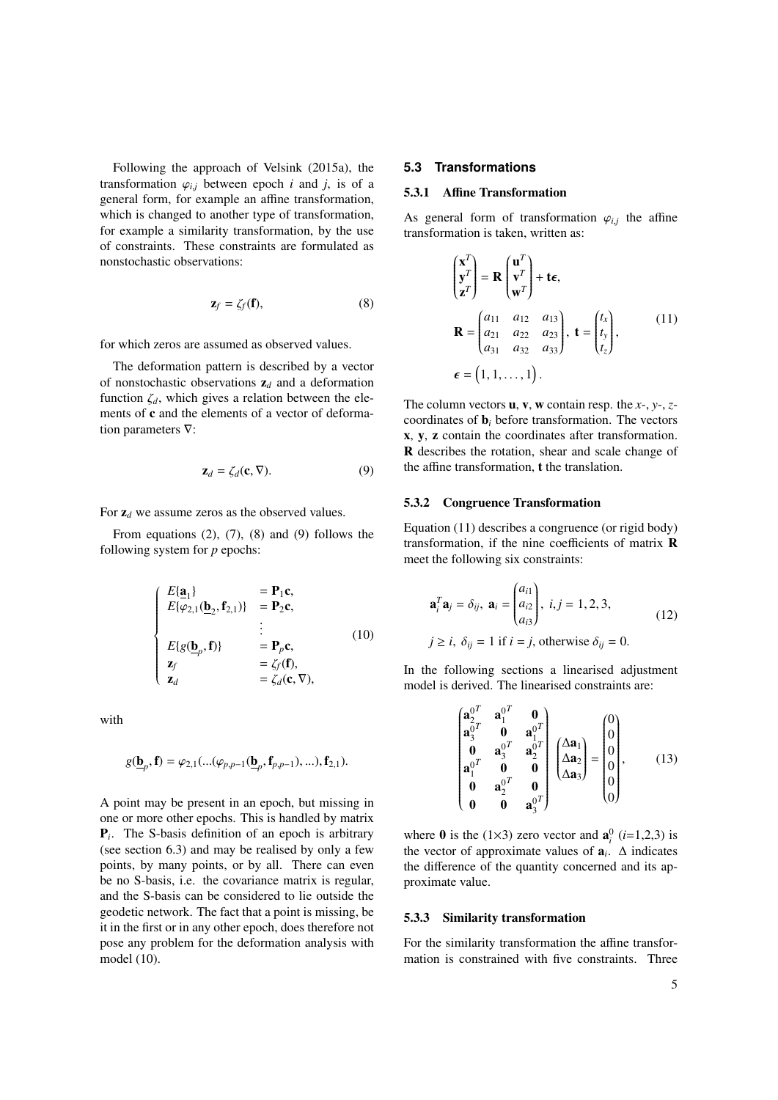Following the approach of [Velsink](#page-11-8) [\(2015a\)](#page-11-8), the transformation  $\varphi_{i,j}$  between epoch *i* and *j*, is of a general form, for example an affine transformation, which is changed to another type of transformation, for example a similarity transformation, by the use of constraints. These constraints are formulated as nonstochastic observations:

<span id="page-4-0"></span>
$$
\mathbf{z}_f = \zeta_f(\mathbf{f}),\tag{8}
$$

for which zeros are assumed as observed values.

The deformation pattern is described by a vector of nonstochastic observations  $z_d$  and a deformation function  $\zeta_d$ , which gives a relation between the elements of c and the elements of a vector of deformation parameters ∇:

<span id="page-4-1"></span>
$$
\mathbf{z}_d = \zeta_d(\mathbf{c}, \nabla). \tag{9}
$$

For  $z_d$  we assume zeros as the observed values.

From equations  $(2)$ ,  $(7)$ ,  $(8)$  and  $(9)$  follows the following system for *p* epochs:

<span id="page-4-2"></span>
$$
\begin{cases}\nE\{\mathbf{a}_1\} & = \mathbf{P}_1\mathbf{c}, \\
E\{\varphi_{2,1}(\mathbf{b}_2, \mathbf{f}_{2,1})\} & = \mathbf{P}_2\mathbf{c}, \\
\vdots & \vdots \\
E\{g(\mathbf{b}_p, \mathbf{f})\} & = \mathbf{P}_p\mathbf{c}, \\
\mathbf{z}_f & = \zeta_f(\mathbf{f}), \\
\mathbf{z}_d & = \zeta_d(\mathbf{c}, \nabla),\n\end{cases}
$$
\n(10)

with

<span id="page-4-3"></span>
$$
g(\underline{\mathbf{b}}_p, \mathbf{f}) = \varphi_{2,1}(...(\varphi_{p,p-1}(\underline{\mathbf{b}}_p, \mathbf{f}_{p,p-1}),...), \mathbf{f}_{2,1}).
$$

A point may be present in an epoch, but missing in one or more other epochs. This is handled by matrix P*i* . The S-basis definition of an epoch is arbitrary (see section [6.3\)](#page-8-0) and may be realised by only a few points, by many points, or by all. There can even be no S-basis, i.e. the covariance matrix is regular, and the S-basis can be considered to lie outside the geodetic network. The fact that a point is missing, be it in the first or in any other epoch, does therefore not pose any problem for the deformation analysis with model [\(10\)](#page-4-2).

#### **5.3 Transformations**

#### 5.3.1 Affine Transformation

As general form of transformation  $\varphi_{i,j}$  the affine<br>transformation is taken written as: transformation is taken, written as:

$$
\begin{pmatrix} \mathbf{x}^T \\ \mathbf{y}^T \\ \mathbf{z}^T \end{pmatrix} = \mathbf{R} \begin{pmatrix} \mathbf{u}^T \\ \mathbf{v}^T \\ \mathbf{w}^T \end{pmatrix} + \mathbf{t}\boldsymbol{\epsilon},
$$
  
\n
$$
\mathbf{R} = \begin{pmatrix} a_{11} & a_{12} & a_{13} \\ a_{21} & a_{22} & a_{23} \\ a_{31} & a_{32} & a_{33} \end{pmatrix}, \mathbf{t} = \begin{pmatrix} t_x \\ t_y \\ t_z \end{pmatrix},
$$
(11)  
\n
$$
\boldsymbol{\epsilon} = (1, 1, ..., 1).
$$

The column vectors u, v, w contain resp. the *x*-, *y*-, *z*coordinates of b*<sup>i</sup>* before transformation. The vectors x, y, z contain the coordinates after transformation. R describes the rotation, shear and scale change of the affine transformation, t the translation.

#### <span id="page-4-5"></span>5.3.2 Congruence Transformation

Equation [\(11\)](#page-4-3) describes a congruence (or rigid body) transformation, if the nine coefficients of matrix R meet the following six constraints:

$$
\mathbf{a}_i^T \mathbf{a}_j = \delta_{ij}, \ \mathbf{a}_i = \begin{pmatrix} a_{i1} \\ a_{i2} \\ a_{i3} \end{pmatrix}, \ i, j = 1, 2, 3,
$$
  
\n $j \ge i, \ \delta_{ij} = 1 \text{ if } i = j, \text{ otherwise } \delta_{ij} = 0.$  (12)

In the following sections a linearised adjustment model is derived. The linearised constraints are:

<span id="page-4-4"></span>
$$
\begin{pmatrix}\n\mathbf{a}_{2}^{0} & \mathbf{a}_{1}^{0} & \mathbf{0} \\
\mathbf{a}_{3}^{0} & \mathbf{0} & \mathbf{a}_{1}^{0} \\
\mathbf{0} & \mathbf{a}_{3}^{0} & \mathbf{a}_{2}^{0} \\
\mathbf{a}_{1}^{0} & \mathbf{0} & \mathbf{0} \\
\mathbf{0} & \mathbf{a}_{2}^{0} & \mathbf{0} \\
\mathbf{0} & \mathbf{0} & \mathbf{a}_{3}^{0} \\
\end{pmatrix}\n\begin{pmatrix}\n\Delta \mathbf{a}_{1} \\
\Delta \mathbf{a}_{2} \\
\Delta \mathbf{a}_{3}\n\end{pmatrix} = \n\begin{pmatrix}\n0 \\
0 \\
0 \\
0 \\
0 \\
0\n\end{pmatrix}, \qquad (13)
$$

where **0** is the (1×3) zero vector and  $\mathbf{a}_i^0$  (*i*=1,2,3) is the vector of approximate values of  $a_i$ .  $\Delta$  indicates the difference of the quantity concerned and its approximate value.

#### <span id="page-4-6"></span>5.3.3 Similarity transformation

For the similarity transformation the affine transformation is constrained with five constraints. Three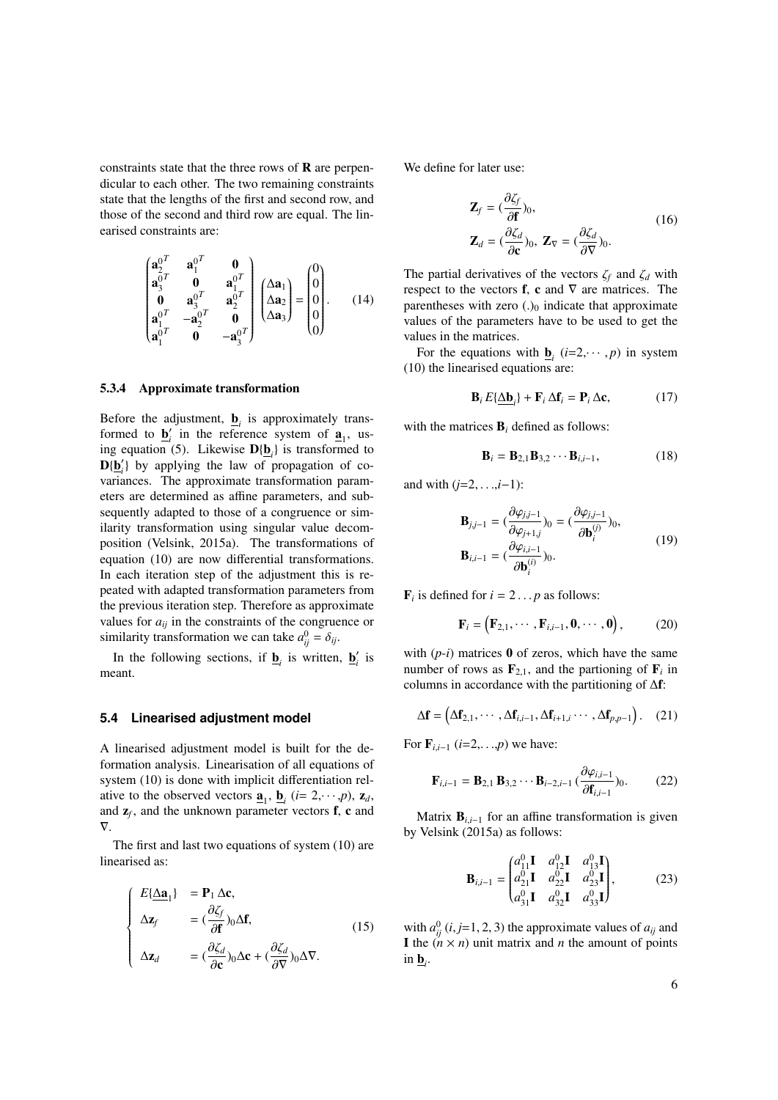constraints state that the three rows of  **are perpen**dicular to each other. The two remaining constraints state that the lengths of the first and second row, and those of the second and third row are equal. The linearised constraints are:

<span id="page-5-5"></span>
$$
\begin{pmatrix}\n\mathbf{a}_{2}^{0} & \mathbf{a}_{1}^{0} & \mathbf{0} \\
\mathbf{a}_{3}^{0} & \mathbf{0} & \mathbf{a}_{1}^{0} \\
\mathbf{0} & \mathbf{a}_{3}^{0} & \mathbf{a}_{2}^{0} \\
\mathbf{a}_{1}^{0} & -\mathbf{a}_{2}^{0} & \mathbf{0} \\
\mathbf{a}_{1}^{0} & \mathbf{0} & -\mathbf{a}_{3}^{0} \\
\end{pmatrix}\n\begin{pmatrix}\n\Delta \mathbf{a}_{1} \\
\Delta \mathbf{a}_{2} \\
\Delta \mathbf{a}_{3}\n\end{pmatrix} = \n\begin{pmatrix}\n0 \\
0 \\
0 \\
0 \\
0\n\end{pmatrix}.
$$
\n(14)

#### <span id="page-5-1"></span>5.3.4 Approximate transformation

Before the adjustment,  $\underline{\mathbf{b}}_i$  is approximately transformed to  $\underline{\mathbf{b}}'_i$  in the reference system of  $\underline{\mathbf{a}}_1$ , us-ing equation [\(5\)](#page-3-3). Likewise  $D{\{\underline{\mathbf{b}}_i\}}$  is transformed to  $D(\underline{b}_i')$  by applying the law of propagation of covariances. The approximate transformation parameters are determined as affine parameters, and subsequently adapted to those of a congruence or similarity transformation using singular value decomposition [\(Velsink,](#page-11-8) [2015a\)](#page-11-8). The transformations of equation [\(10\)](#page-4-2) are now differential transformations. In each iteration step of the adjustment this is repeated with adapted transformation parameters from the previous iteration step. Therefore as approximate values for  $a_{ii}$  in the constraints of the congruence or similarity transformation we can take  $a_{ij}^0 = \delta_{ij}$ .

In the following sections, if  $\underline{\mathbf{b}}_i$  is written,  $\underline{\mathbf{b}}'_i$  is meant.

#### **5.4 Linearised adjustment model**

A linearised adjustment model is built for the deformation analysis. Linearisation of all equations of system [\(10\)](#page-4-2) is done with implicit differentiation relative to the observed vectors  $\underline{\mathbf{a}}_1$ ,  $\underline{\mathbf{b}}_i$  (*i*= 2, · · · *,p*),  $\mathbf{z}_d$ , and  $z_f$ , and the unknown parameter vectors  $f$ ,  $c$  and  $\nabla$ 

The first and last two equations of system [\(10\)](#page-4-2) are linearised as:

$$
\begin{cases}\nE\{\underline{\Delta \mathbf{a}}_1\} &= \mathbf{P}_1 \,\Delta \mathbf{c}, \\
\Delta \mathbf{z}_f &= (\frac{\partial \zeta_f}{\partial \mathbf{f}})_0 \Delta \mathbf{f}, \\
\Delta \mathbf{z}_d &= (\frac{\partial \zeta_d}{\partial \mathbf{c}})_0 \Delta \mathbf{c} + (\frac{\partial \zeta_d}{\partial \nabla})_0 \Delta \nabla.\n\end{cases}
$$
\n(15)

We define for later use:

<span id="page-5-0"></span>
$$
\mathbf{Z}_{f} = (\frac{\partial \zeta_{f}}{\partial \mathbf{f}})_{0},
$$
\n
$$
\mathbf{Z}_{d} = (\frac{\partial \zeta_{d}}{\partial \mathbf{c}})_{0}, \mathbf{Z}_{\nabla} = (\frac{\partial \zeta_{d}}{\partial \nabla})_{0}.
$$
\n(16)

The partial derivatives of the vectors <sup>ζ</sup>*<sup>f</sup>* and <sup>ζ</sup>*<sup>d</sup>* with respect to the vectors f, c and  $\nabla$  are matrices. The parentheses with zero  $(.)_0$  indicate that approximate values of the parameters have to be used to get the values in the matrices.

For the equations with  $\underline{\mathbf{b}}_i$  (*i*=2, · · · , *p*) in system<br>(1) the linearised equations are: [\(10\)](#page-4-2) the linearised equations are:

$$
\mathbf{B}_i E{\underline{\Delta \mathbf{b}}_i} + \mathbf{F}_i \Delta \mathbf{f}_i = \mathbf{P}_i \Delta \mathbf{c},\tag{17}
$$

with the matrices B*<sup>i</sup>* defined as follows:

<span id="page-5-2"></span>
$$
\mathbf{B}_{i} = \mathbf{B}_{2,1} \mathbf{B}_{3,2} \cdots \mathbf{B}_{i,i-1},
$$
 (18)

and with  $(i=2, \ldots, i-1)$ :

$$
\mathbf{B}_{j,j-1} = (\frac{\partial \varphi_{j,j-1}}{\partial \varphi_{j+1,j}})_0 = (\frac{\partial \varphi_{j,j-1}}{\partial \mathbf{b}_i^{(j)}})_0,
$$
  

$$
\mathbf{B}_{i,i-1} = (\frac{\partial \varphi_{i,i-1}}{\partial \mathbf{b}_i^{(i)}})_0.
$$
 (19)

 $\mathbf{F}_i$  is defined for  $i = 2 \dots p$  as follows:

<span id="page-5-4"></span>
$$
\mathbf{F}_i = \left(\mathbf{F}_{2,1}, \cdots, \mathbf{F}_{i,i-1}, \mathbf{0}, \cdots, \mathbf{0}\right),\tag{20}
$$

with  $(p-i)$  matrices  $\bf{0}$  of zeros, which have the same number of rows as  $\mathbf{F}_{2,1}$ , and the partioning of  $\mathbf{F}_i$  in an alumna in association with the partitioning of  $\Lambda$ **f**. columns in accordance with the partitioning of ∆f:

$$
\Delta \mathbf{f} = (\Delta \mathbf{f}_{2,1}, \cdots, \Delta \mathbf{f}_{i,i-1}, \Delta \mathbf{f}_{i+1,i} \cdots, \Delta \mathbf{f}_{p,p-1}). \quad (21)
$$

For  $\mathbf{F}_{i,i-1}$  (*i*=2,...*,p*) we have:

<span id="page-5-3"></span>
$$
\mathbf{F}_{i,i-1} = \mathbf{B}_{2,1} \, \mathbf{B}_{3,2} \cdots \mathbf{B}_{i-2,i-1} \, (\frac{\partial \varphi_{i,i-1}}{\partial \mathbf{f}_{i,i-1}})_0. \tag{22}
$$

Matrix  $B_{i,i-1}$  for an affine transformation is given by [Velsink](#page-11-8) [\(2015a\)](#page-11-8) as follows:

$$
\mathbf{B}_{i,i-1} = \begin{pmatrix} a_{11}^0 \mathbf{I} & a_{12}^0 \mathbf{I} & a_{13}^0 \mathbf{I} \\ a_{21}^0 \mathbf{I} & a_{22}^0 \mathbf{I} & a_{23}^0 \mathbf{I} \\ a_{31}^0 \mathbf{I} & a_{32}^0 \mathbf{I} & a_{33}^0 \mathbf{I} \end{pmatrix},
$$
(23)

with  $a_{ij}^0$  (*i*, *j*=1, 2, 3) the approximate values of  $a_{ij}$  and<br>**I** the  $(n \times n)$  unit matrix and *n* the amount of points I the  $(n \times n)$  unit matrix and *n* the amount of points in  $\underline{\mathbf{b}}_i$ .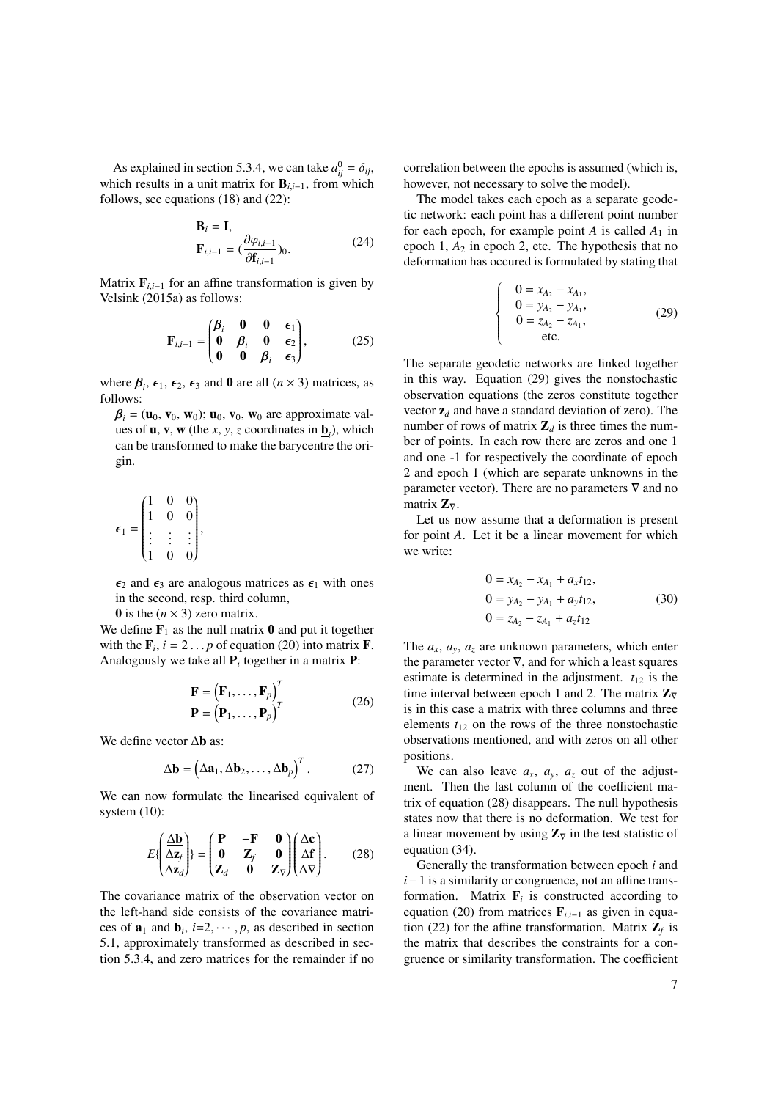As explained in section [5.3.4,](#page-5-1) we can take  $a_{ij}^0 = \delta_{ij}$ ,<br>bich results in a unit matrix for **B**<sub>111</sub>, from which which results in a unit matrix for  $B_{i,i-1}$ , from which follows, see equations [\(18\)](#page-5-2) and [\(22\)](#page-5-3):

$$
\mathbf{B}_{i} = \mathbf{I},
$$
  
\n
$$
\mathbf{F}_{i,i-1} = (\frac{\partial \varphi_{i,i-1}}{\partial \mathbf{f}_{i,i-1}})_0.
$$
\n(24)

Matrix  $\mathbf{F}_{i,i-1}$  for an affine transformation is given by [Velsink](#page-11-8) [\(2015a\)](#page-11-8) as follows:

$$
\mathbf{F}_{i,i-1} = \begin{pmatrix} \beta_i & \mathbf{0} & \mathbf{0} & \epsilon_1 \\ \mathbf{0} & \beta_i & \mathbf{0} & \epsilon_2 \\ \mathbf{0} & \mathbf{0} & \beta_i & \epsilon_3 \end{pmatrix},\tag{25}
$$

where  $\beta_i$ ,  $\epsilon_1$ ,  $\epsilon_2$ ,  $\epsilon_3$  and **0** are all  $(n \times 3)$  matrices, as follows: follows:

 $\beta_i = (\mathbf{u}_0, \mathbf{v}_0, \mathbf{w}_0); \mathbf{u}_0, \mathbf{v}_0, \mathbf{w}_0$  are approximate values of **u**, **v**, **w** (the *x*, *y*, *z* coordinates in  $\underline{\mathbf{b}}_i$ ), which can be transformed to make the barycentre the origin.

$$
\epsilon_1 = \begin{pmatrix} 1 & 0 & 0 \\ 1 & 0 & 0 \\ \vdots & \vdots & \vdots \\ 1 & 0 & 0 \end{pmatrix},
$$

 $\epsilon_2$  and  $\epsilon_3$  are analogous matrices as  $\epsilon_1$  with ones in the second, resp. third column,

0 is the  $(n \times 3)$  zero matrix.

We define  $\mathbf{F}_1$  as the null matrix 0 and put it together with the  $\mathbf{F}_i$ ,  $i = 2 \dots p$  of equation [\(20\)](#page-5-4) into matrix **F**.<br>Analogously we take all **P**, together in a matrix **P**. Analogously we take all  $P_i$  together in a matrix  $P$ :

$$
\mathbf{F} = (\mathbf{F}_1, ..., \mathbf{F}_p)^T
$$
  
\n
$$
\mathbf{P} = (\mathbf{P}_1, ..., \mathbf{P}_p)^T
$$
 (26)

We define vector ∆b as:

$$
\Delta \mathbf{b} = (\Delta \mathbf{a}_1, \Delta \mathbf{b}_2, \dots, \Delta \mathbf{b}_p)^T. \tag{27}
$$

We can now formulate the linearised equivalent of system [\(10\)](#page-4-2):

<span id="page-6-0"></span>
$$
E\left\{\left(\frac{\Delta \mathbf{b}}{\Delta \mathbf{z}_{f}}\right)\right\} = \left(\begin{matrix} \mathbf{P} & -\mathbf{F} & \mathbf{0} \\ \mathbf{0} & \mathbf{Z}_{f} & \mathbf{0} \\ \mathbf{Z}_{d} & \mathbf{0} & \mathbf{Z}_{\nabla}\end{matrix}\right) \left(\begin{matrix} \Delta \mathbf{c} \\ \Delta \mathbf{f} \\ \Delta \nabla\end{matrix}\right). \tag{28}
$$

The covariance matrix of the observation vector on the left-hand side consists of the covariance matrices of  $\mathbf{a}_1$  and  $\mathbf{b}_i$ ,  $i=2,\dots,p$ , as described in section<br>5.1. approximately transformed as described in sec-[5.1,](#page-3-4) approximately transformed as described in section [5.3.4,](#page-5-1) and zero matrices for the remainder if no

correlation between the epochs is assumed (which is, however, not necessary to solve the model).

The model takes each epoch as a separate geodetic network: each point has a different point number for each epoch, for example point  $A$  is called  $A_1$  in epoch  $1, A_2$  in epoch  $2$ , etc. The hypothesis that no deformation has occured is formulated by stating that

<span id="page-6-1"></span>
$$
\begin{cases}\n0 = x_{A_2} - x_{A_1}, \n0 = y_{A_2} - y_{A_1}, \n0 = z_{A_2} - z_{A_1}, \netc.\n\end{cases}
$$
\n(29)

The separate geodetic networks are linked together in this way. Equation [\(29\)](#page-6-1) gives the nonstochastic observation equations (the zeros constitute together vector z*<sup>d</sup>* and have a standard deviation of zero). The number of rows of matrix  $\mathbb{Z}_d$  is three times the number of points. In each row there are zeros and one 1 and one -1 for respectively the coordinate of epoch 2 and epoch 1 (which are separate unknowns in the parameter vector). There are no parameters  $\nabla$  and no matrix  $\mathbf{Z}_{\nabla}$ .

Let us now assume that a deformation is present for point *A*. Let it be a linear movement for which we write:

$$
0 = x_{A_2} - x_{A_1} + a_x t_{12},
$$
  
\n
$$
0 = y_{A_2} - y_{A_1} + a_y t_{12},
$$
  
\n
$$
0 = z_{A_2} - z_{A_1} + a_z t_{12}
$$
\n(30)

The  $a_x$ ,  $a_y$ ,  $a_z$  are unknown parameters, which enter the parameter vector  $\nabla$ , and for which a least squares estimate is determined in the adjustment.  $t_{12}$  is the time interval between epoch 1 and 2. The matrix  $\mathbb{Z}_{\nabla}$ is in this case a matrix with three columns and three elements  $t_{12}$  on the rows of the three nonstochastic observations mentioned, and with zeros on all other positions.

We can also leave  $a_x$ ,  $a_y$ ,  $a_z$  out of the adjustment. Then the last column of the coefficient matrix of equation [\(28\)](#page-6-0) disappears. The null hypothesis states now that there is no deformation. We test for a linear movement by using  $\mathbb{Z}_{\nabla}$  in the test statistic of equation [\(34\)](#page-7-1).

Generally the transformation between epoch *i* and *i*−1 is a similarity or congruence, not an affine transformation. Matrix  $\mathbf{F}_i$  is constructed according to equation [\(20\)](#page-5-4) from matrices <sup>F</sup>*<sup>i</sup>*,*i*−<sup>1</sup> as given in equa-tion [\(22\)](#page-5-3) for the affine transformation. Matrix  $\mathbf{Z}_f$  is the matrix that describes the constraints for a congruence or similarity transformation. The coefficient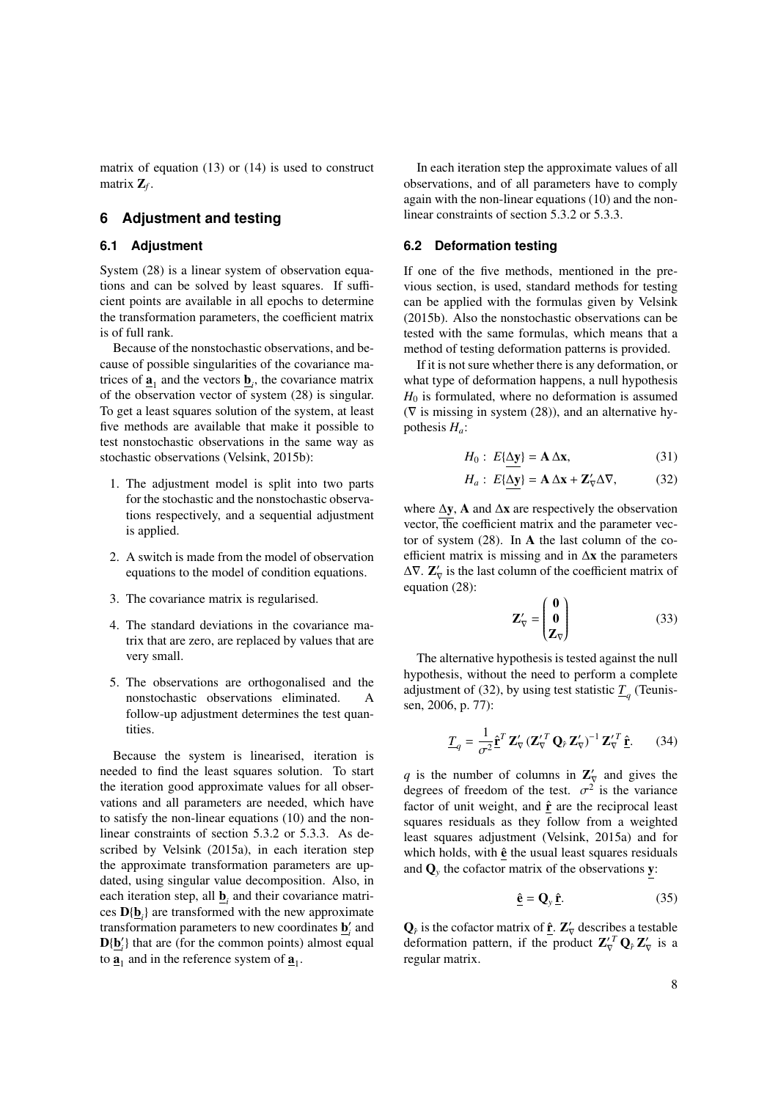matrix of equation [\(13\)](#page-4-4) or [\(14\)](#page-5-5) is used to construct matrix Z*<sup>f</sup>* .

# <span id="page-7-0"></span>**6 Adjustment and testing**

## **6.1 Adjustment**

System [\(28\)](#page-6-0) is a linear system of observation equations and can be solved by least squares. If sufficient points are available in all epochs to determine the transformation parameters, the coefficient matrix is of full rank.

Because of the nonstochastic observations, and because of possible singularities of the covariance matrices of  $\underline{\mathbf{a}}_1$  and the vectors  $\underline{\mathbf{b}}_i$ , the covariance matrix of the observation vector of system [\(28\)](#page-6-0) is singular. To get a least squares solution of the system, at least five methods are available that make it possible to test nonstochastic observations in the same way as stochastic observations [\(Velsink,](#page-11-6) [2015b\)](#page-11-6):

- 1. The adjustment model is split into two parts for the stochastic and the nonstochastic observations respectively, and a sequential adjustment is applied.
- 2. A switch is made from the model of observation equations to the model of condition equations.
- 3. The covariance matrix is regularised.
- 4. The standard deviations in the covariance matrix that are zero, are replaced by values that are very small.
- 5. The observations are orthogonalised and the nonstochastic observations eliminated. A follow-up adjustment determines the test quantities.

Because the system is linearised, iteration is needed to find the least squares solution. To start the iteration good approximate values for all observations and all parameters are needed, which have to satisfy the non-linear equations [\(10\)](#page-4-2) and the nonlinear constraints of section [5.3.2](#page-4-5) or [5.3.3.](#page-4-6) As described by [Velsink](#page-11-8) [\(2015a\)](#page-11-8), in each iteration step the approximate transformation parameters are updated, using singular value decomposition. Also, in each iteration step, all  $\underline{\mathbf{b}}_i$  and their covariance matrices  $D{\{\underline{\mathbf{b}}_i\}}$  are transformed with the new approximate transformation parameters to new coordinates  $\underline{\mathbf{b}}'_i$  and  $D{\{\underline{b}'_i\}}$  that are (for the common points) almost equal to  $\underline{\mathbf{a}}_1$  and in the reference system of  $\underline{\mathbf{a}}_1$ .

In each iteration step the approximate values of all observations, and of all parameters have to comply again with the non-linear equations [\(10\)](#page-4-2) and the nonlinear constraints of section [5.3.2](#page-4-5) or [5.3.3.](#page-4-6)

## **6.2 Deformation testing**

If one of the five methods, mentioned in the previous section, is used, standard methods for testing can be applied with the formulas given by [Velsink](#page-11-6) [\(2015b\)](#page-11-6). Also the nonstochastic observations can be tested with the same formulas, which means that a method of testing deformation patterns is provided.

If it is not sure whether there is any deformation, or what type of deformation happens, a null hypothesis  $H_0$  is formulated, where no deformation is assumed ( $\nabla$  is missing in system [\(28\)](#page-6-0)), and an alternative hypothesis *Ha*:

<span id="page-7-2"></span>
$$
H_0: E{\underline{\Delta y}} = A \Delta x, \qquad (31)
$$

$$
H_a: E{\Delta y} = A \Delta x + Z'_\nabla \Delta \nabla, \qquad (32)
$$

where  $\Delta y$ , A and  $\Delta x$  are respectively the observation vector, the coefficient matrix and the parameter vector of system  $(28)$ . In **A** the last column of the coefficient matrix is missing and in ∆x the parameters  $\Delta \nabla$ .  $\mathbf{Z}'_{\nabla}$  is the last column of the coefficient matrix of equation [\(28\)](#page-6-0):

$$
\mathbf{Z}'_{\nabla} = \begin{pmatrix} \mathbf{0} \\ \mathbf{0} \\ \mathbf{Z}_{\nabla} \end{pmatrix} \tag{33}
$$

The alternative hypothesis is tested against the null hypothesis, without the need to perform a complete adjustment of [\(32\)](#page-7-2), by using test statistic  $\underline{T}_q$  [\(Teunis](#page-11-9)[sen,](#page-11-9) [2006,](#page-11-9) p. 77):

<span id="page-7-1"></span>
$$
\underline{T}_q = \frac{1}{\sigma^2} \hat{\mathbf{r}}^T \mathbf{Z}'_{\nabla} (\mathbf{Z}'_{\nabla} \mathbf{Q}_{\hat{r}} \mathbf{Z}'_{\nabla})^{-1} \mathbf{Z}'_{\nabla} \hat{\mathbf{r}}.
$$
 (34)

q is the number of columns in  $\mathbb{Z}'_{\nabla}$  and gives the degrees of freedom of the test.  $\sigma^2$  is the variance<br>factor of unit weight, and  $\hat{\mathbf{r}}$  are the reciprocal least factor of unit weight, and  $\hat{\mathbf{r}}$  are the reciprocal least squares residuals as they follow from a weighted least squares adjustment [\(Velsink,](#page-11-8) [2015a\)](#page-11-8) and for which holds, with  $\hat{\mathbf{e}}$  the usual least squares residuals and  $\mathbf{Q}_y$  the cofactor matrix of the observations **y**:

$$
\hat{\mathbf{e}} = \mathbf{Q}_y \, \hat{\mathbf{r}}.\tag{35}
$$

 $\mathbf{Q}_{\hat{r}}$  is the cofactor matrix of  $\underline{\hat{\mathbf{r}}}$ .  $\mathbf{Z}'_{\nabla}$  describes a testable deformation pattern, if the product  $\mathbf{Z}'^{T}_{\nabla} \mathbf{Q}_{\hat{r}} \mathbf{Z}'_{\nabla}$  is a regular matrix.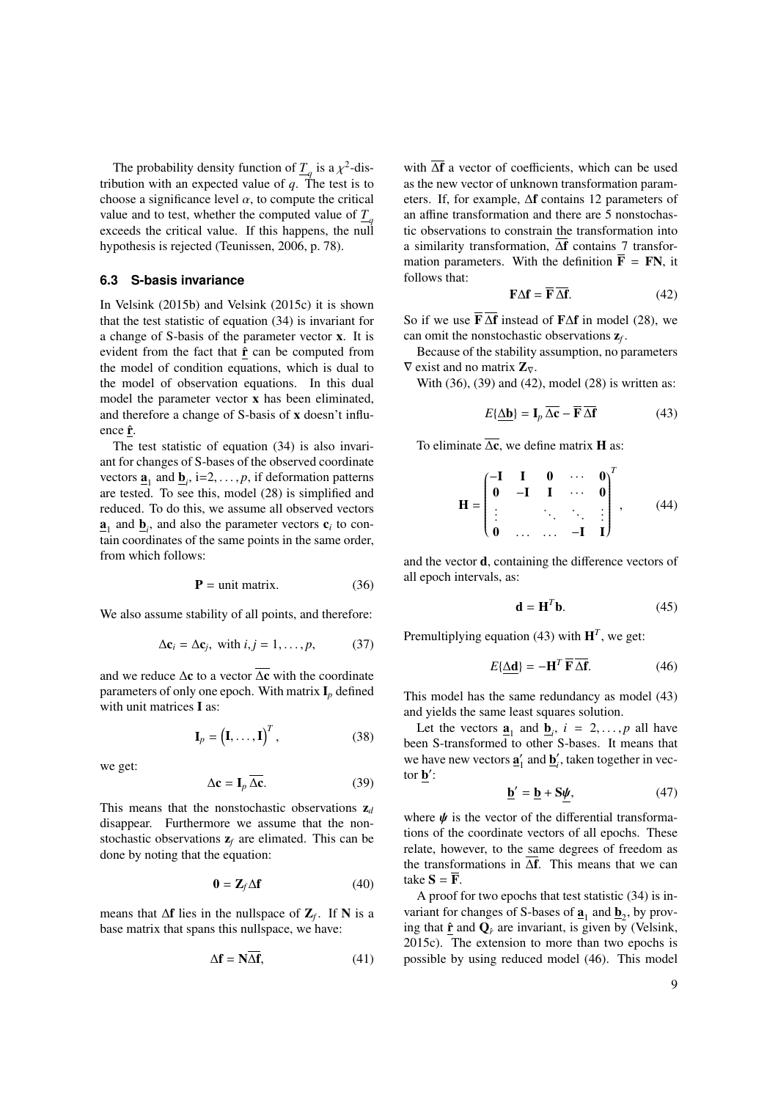The probability density function of  $T_q$  is a  $\chi^2$ -dis-<br>bution with an expected value of a. The test is to tribution with an expected value of  $q$ . The test is to choose a significance level  $\alpha$ , to compute the critical value and to test, whether the computed value of  $\frac{T}{q}$ exceeds the critical value. If this happens, the null hypothesis is rejected [\(Teunissen,](#page-11-9) [2006,](#page-11-9) p. 78).

# <span id="page-8-0"></span>**6.3 S-basis invariance**

In [Velsink](#page-11-6) [\(2015b\)](#page-11-6) and [Velsink](#page-11-1) [\(2015c\)](#page-11-1) it is shown that the test statistic of equation [\(34\)](#page-7-1) is invariant for a change of S-basis of the parameter vector x. It is evident from the fact that  $\hat{\mathbf{r}}$  can be computed from the model of condition equations, which is dual to the model of observation equations. In this dual model the parameter vector x has been eliminated, and therefore a change of S-basis of x doesn't influence  $\hat{\mathbf{r}}$ .

The test statistic of equation [\(34\)](#page-7-1) is also invariant for changes of S-bases of the observed coordinate vectors  $\underline{\mathbf{a}}_1$  and  $\underline{\mathbf{b}}_i$ , i=2, ..., *p*, if deformation patterns<br>are tested. To see this, model (28) is simplified and are tested. To see this, model [\(28\)](#page-6-0) is simplified and reduced. To do this, we assume all observed vectors  $\underline{\mathbf{a}}_1$  and  $\underline{\mathbf{b}}_i$ , and also the parameter vectors  $\mathbf{c}_i$  to contain coordinates of the same points in the same order, from which follows:

<span id="page-8-1"></span>
$$
\mathbf{P} = \text{unit matrix.} \tag{36}
$$

We also assume stability of all points, and therefore:

$$
\Delta \mathbf{c}_i = \Delta \mathbf{c}_j, \text{ with } i, j = 1, \dots, p,
$$
 (37)

and we reduce  $\Delta c$  to a vector  $\overline{\Delta c}$  with the coordinate parameters of only one epoch. With matrix  $I_p$  defined with unit matrices I as:

$$
\mathbf{I}_p = \left(\mathbf{I}, \dots, \mathbf{I}\right)^T, \tag{38}
$$

we get:

<span id="page-8-2"></span>
$$
\Delta \mathbf{c} = \mathbf{I}_p \, \overline{\Delta \mathbf{c}}. \tag{39}
$$

This means that the nonstochastic observations  $z_d$ disappear. Furthermore we assume that the nonstochastic observations z*<sup>f</sup>* are elimated. This can be done by noting that the equation:

$$
\mathbf{0} = \mathbf{Z}_f \Delta \mathbf{f} \tag{40}
$$

means that  $\Delta f$  lies in the nullspace of  $\mathbb{Z}_f$ . If N is a base matrix that spans this nullspace, we have:

$$
\Delta \mathbf{f} = \mathbf{N} \Delta \mathbf{f},\tag{41}
$$

with  $\overline{\Delta f}$  a vector of coefficients, which can be used as the new vector of unknown transformation parameters. If, for example, ∆f contains 12 parameters of an affine transformation and there are 5 nonstochastic observations to constrain the transformation into a similarity transformation, ∆f contains 7 transformation parameters. With the definition  $\overline{F}$  = FN, it follows that:

<span id="page-8-3"></span>
$$
\mathbf{F}\Delta\mathbf{f} = \overline{\mathbf{F}} \overline{\Delta \mathbf{f}}.\tag{42}
$$

So if we use  $\overline{\mathbf{F}} \overline{\Delta \mathbf{f}}$  instead of  $\mathbf{F} \Delta \mathbf{f}$  in model [\(28\)](#page-6-0), we can omit the nonstochastic observations  $\mathbf{z}_f$ .

Because of the stability assumption, no parameters  $\nabla$  exist and no matrix  $\mathbf{Z}_{\nabla}$ .

With [\(36\)](#page-8-1), [\(39\)](#page-8-2) and [\(42\)](#page-8-3), model [\(28\)](#page-6-0) is written as:

<span id="page-8-4"></span>
$$
E\{\underline{\Delta}\mathbf{b}\} = \mathbf{I}_p \overline{\Delta}\mathbf{c} - \overline{\mathbf{F}} \overline{\Delta}\mathbf{f}
$$
 (43)

To eliminate  $\overline{\Delta c}$ , we define matrix **H** as:

$$
\mathbf{H} = \begin{pmatrix} -\mathbf{I} & \mathbf{I} & \mathbf{0} & \cdots & \mathbf{0} \\ \mathbf{0} & -\mathbf{I} & \mathbf{I} & \cdots & \mathbf{0} \\ \vdots & \vdots & \ddots & \ddots & \vdots \\ \mathbf{0} & \cdots & \cdots & -\mathbf{I} & \mathbf{I} \end{pmatrix}^{T}, \qquad (44)
$$

and the vector d, containing the difference vectors of all epoch intervals, as:

$$
\mathbf{d} = \mathbf{H}^T \mathbf{b}.\tag{45}
$$

Premultiplying equation [\(43\)](#page-8-4) with  $H<sup>T</sup>$ , we get:

<span id="page-8-5"></span>
$$
E\{\underline{\Delta d}\} = -\mathbf{H}^T \overline{\mathbf{F}} \overline{\Delta f}.
$$
 (46)

This model has the same redundancy as model [\(43\)](#page-8-4) and yields the same least squares solution.

Let the vectors  $\underline{\mathbf{a}}_1$  and  $\underline{\mathbf{b}}_i$ ,  $i = 2, ..., p$  all have<br>en S-transformed to other S-bases. It means that been S-transformed to other S-bases. It means that we have new vectors  $\underline{\mathbf{a}}'_1$  and  $\underline{\mathbf{b}}'_i$ , taken together in vector  $\underline{\mathbf{b}}'$ :

$$
\underline{\mathbf{b}}' = \underline{\mathbf{b}} + \mathbf{S}\underline{\boldsymbol{\psi}},\tag{47}
$$

where  $\psi$  is the vector of the differential transformations of the coordinate vectors of all epochs. These relate, however, to the same degrees of freedom as the transformations in ∆f. This means that we can take  $S = \overline{F}$ .

A proof for two epochs that test statistic [\(34\)](#page-7-1) is invariant for changes of S-bases of  $\underline{\mathbf{a}}_1$  and  $\underline{\mathbf{b}}_2$ , by proving that  $\hat{\mathbf{r}}$  and  $\mathbf{Q}_{\hat{r}}$  are invariant, is given by [\(Velsink,](#page-11-1) [2015c\)](#page-11-1). The extension to more than two epochs is possible by using reduced model [\(46\)](#page-8-5). This model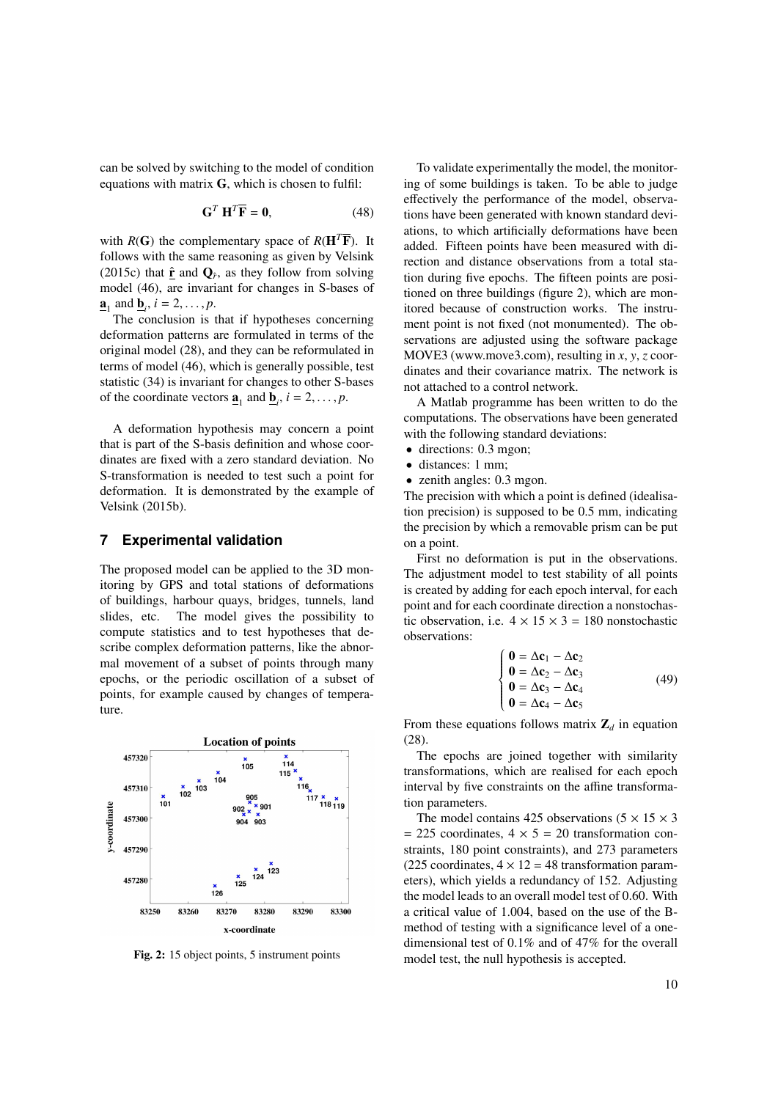can be solved by switching to the model of condition equations with matrix  $G$ , which is chosen to fulfil:

$$
\mathbf{G}^T \mathbf{H}^T \overline{\mathbf{F}} = \mathbf{0},\tag{48}
$$

with  $R(G)$  the complementary space of  $R(\mathbf{H}^T\overline{\mathbf{F}})$ . It follows with the same reasoning as given by [Velsink](#page-11-1) [\(2015c\)](#page-11-1) that  $\hat{\mathbf{r}}$  and  $\mathbf{Q}_{\hat{r}}$ , as they follow from solving model [\(46\)](#page-8-5), are invariant for changes in S-bases of  $\underline{\mathbf{a}}_1$  and  $\underline{\mathbf{b}}_i$ ,  $i = 2, \dots, p$ .<br>The conclusion is 1

The conclusion is that if hypotheses concerning deformation patterns are formulated in terms of the original model [\(28\)](#page-6-0), and they can be reformulated in terms of model [\(46\)](#page-8-5), which is generally possible, test statistic [\(34\)](#page-7-1) is invariant for changes to other S-bases of the coordinate vectors  $\underline{\mathbf{a}}_1$  and  $\underline{\mathbf{b}}_i$ ,  $i = 2, ..., p$ .

A deformation hypothesis may concern a point that is part of the S-basis definition and whose coordinates are fixed with a zero standard deviation. No S-transformation is needed to test such a point for deformation. It is demonstrated by the example of [Velsink](#page-11-6) [\(2015b\)](#page-11-6).

# <span id="page-9-0"></span>**7 Experimental validation**

The proposed model can be applied to the 3D monitoring by GPS and total stations of deformations of buildings, harbour quays, bridges, tunnels, land slides, etc. The model gives the possibility to compute statistics and to test hypotheses that describe complex deformation patterns, like the abnormal movement of a subset of points through many epochs, or the periodic oscillation of a subset of points, for example caused by changes of temperature.

<span id="page-9-1"></span>

Fig. 2: 15 object points, 5 instrument points

To validate experimentally the model, the monitoring of some buildings is taken. To be able to judge effectively the performance of the model, observations have been generated with known standard deviations, to which artificially deformations have been added. Fifteen points have been measured with direction and distance observations from a total station during five epochs. The fifteen points are positioned on three buildings (figure [2\)](#page-9-1), which are monitored because of construction works. The instrument point is not fixed (not monumented). The observations are adjusted using the software package MOVE3 [\(www.move3.com\)](http://www.move3.com), resulting in *x*, *y*, *z* coordinates and their covariance matrix. The network is not attached to a control network.

A Matlab programme has been written to do the computations. The observations have been generated with the following standard deviations:

- directions: 0.3 mgon;
- distances: 1 mm;
- zenith angles: 0.3 mgon.

The precision with which a point is defined (idealisation precision) is supposed to be 0.5 mm, indicating the precision by which a removable prism can be put on a point.

First no deformation is put in the observations. The adjustment model to test stability of all points is created by adding for each epoch interval, for each point and for each coordinate direction a nonstochastic observation, i.e.  $4 \times 15 \times 3 = 180$  nonstochastic observations:

$$
\begin{cases}\n\mathbf{0} = \Delta \mathbf{c}_1 - \Delta \mathbf{c}_2 \\
\mathbf{0} = \Delta \mathbf{c}_2 - \Delta \mathbf{c}_3 \\
\mathbf{0} = \Delta \mathbf{c}_3 - \Delta \mathbf{c}_4 \\
\mathbf{0} = \Delta \mathbf{c}_4 - \Delta \mathbf{c}_5\n\end{cases}
$$
\n(49)

From these equations follows matrix  $\mathbf{Z}_d$  in equation [\(28\)](#page-6-0).

The epochs are joined together with similarity transformations, which are realised for each epoch interval by five constraints on the affine transformation parameters.

The model contains 425 observations  $(5 \times 15 \times 3)$  $= 225$  coordinates,  $4 \times 5 = 20$  transformation constraints, 180 point constraints), and 273 parameters (225 coordinates,  $4 \times 12 = 48$  transformation parameters), which yields a redundancy of 152. Adjusting the model leads to an overall model test of 0.60. With a critical value of 1.004, based on the use of the Bmethod of testing with a significance level of a onedimensional test of 0.1% and of 47% for the overall model test, the null hypothesis is accepted.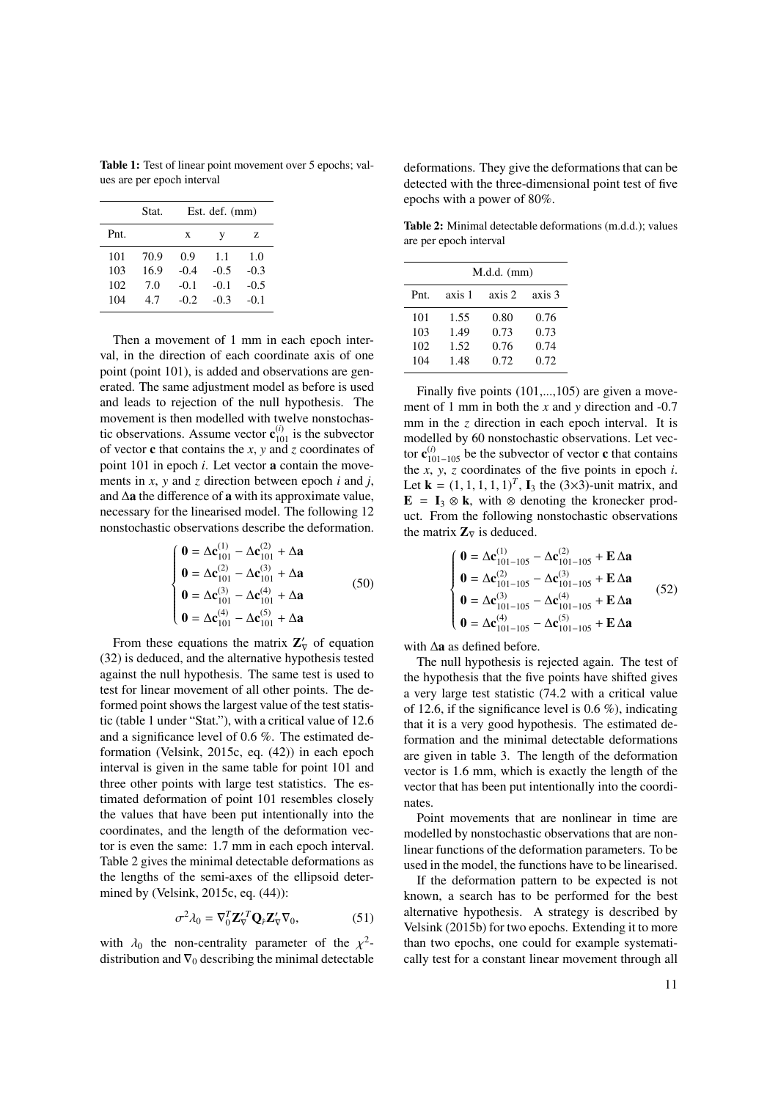<span id="page-10-0"></span>Table 1: Test of linear point movement over 5 epochs; values are per epoch interval

| Stat. | Est. def. (mm) |        |        |  |
|-------|----------------|--------|--------|--|
|       | X              | v      | Z      |  |
| 70.9  | 0.9            | 1.1    | 1.0    |  |
| 16.9  | $-0.4$         | $-0.5$ | $-0.3$ |  |
| 7.0   | $-0.1$         | $-0.1$ | $-0.5$ |  |
| 4.7   | $-0.2$         | $-0.3$ | $-0.1$ |  |
|       |                |        |        |  |

Then a movement of 1 mm in each epoch interval, in the direction of each coordinate axis of one point (point 101), is added and observations are generated. The same adjustment model as before is used and leads to rejection of the null hypothesis. The movement is then modelled with twelve nonstochastic observations. Assume vector  $\mathbf{c}_{101}^{(i)}$  is the subvector of vector c that contains the *x*, *y* and *z* coordinates of point 101 in epoch *i*. Let vector a contain the movements in *x*, *y* and *z* direction between epoch *i* and *j*, and ∆a the difference of a with its approximate value, necessary for the linearised model. The following 12 nonstochastic observations describe the deformation.

$$
\begin{cases}\n\mathbf{0} = \Delta \mathbf{c}_{101}^{(1)} - \Delta \mathbf{c}_{101}^{(2)} + \Delta \mathbf{a} \\
\mathbf{0} = \Delta \mathbf{c}_{101}^{(2)} - \Delta \mathbf{c}_{101}^{(3)} + \Delta \mathbf{a} \\
\mathbf{0} = \Delta \mathbf{c}_{101}^{(3)} - \Delta \mathbf{c}_{101}^{(4)} + \Delta \mathbf{a} \\
\mathbf{0} = \Delta \mathbf{c}_{101}^{(4)} - \Delta \mathbf{c}_{101}^{(5)} + \Delta \mathbf{a}\n\end{cases}
$$
\n(50)

From these equations the matrix  $\mathbb{Z}'_{\nabla}$  of equation [\(32\)](#page-7-2) is deduced, and the alternative hypothesis tested against the null hypothesis. The same test is used to test for linear movement of all other points. The deformed point shows the largest value of the test statistic (table [1](#page-10-0) under "Stat."), with a critical value of 12.6 and a significance level of 0.6 %. The estimated deformation [\(Velsink,](#page-11-1) [2015c,](#page-11-1) eq. (42)) in each epoch interval is given in the same table for point 101 and three other points with large test statistics. The estimated deformation of point 101 resembles closely the values that have been put intentionally into the coordinates, and the length of the deformation vector is even the same: 1.7 mm in each epoch interval. Table [2](#page-10-1) gives the minimal detectable deformations as the lengths of the semi-axes of the ellipsoid determined by [\(Velsink,](#page-11-1) [2015c,](#page-11-1) eq. (44)):

$$
\sigma^2 \lambda_0 = \nabla_0^T \mathbf{Z}_{\nabla}^{\prime T} \mathbf{Q}_{\hat{r}} \mathbf{Z}_{\nabla}^{\prime} \nabla_0, \tag{51}
$$

with  $\lambda_0$  the non-centrality parameter of the  $\chi^2$ -<br>distribution and  $\nabla_0$  describing the minimal detectable distribution and  $\nabla_0$  describing the minimal detectable

deformations. They give the deformations that can be detected with the three-dimensional point test of five epochs with a power of 80%.

<span id="page-10-1"></span>Table 2: Minimal detectable deformations (m.d.d.); values are per epoch interval

|      | $M.d.d.$ (mm) |        |        |  |  |  |
|------|---------------|--------|--------|--|--|--|
| Pnt. | axis 1        | axis 2 | axis 3 |  |  |  |
| 101  | 1.55          | 0.80   | 0.76   |  |  |  |
| 103  | 1.49          | 0.73   | 0.73   |  |  |  |
| 102  | 1.52          | 0.76   | 0.74   |  |  |  |
| 104  | 1.48          | 0.72   | 0.72   |  |  |  |

Finally five points  $(101,...,105)$  are given a movement of 1 mm in both the *x* and *y* direction and -0.7 mm in the *z* direction in each epoch interval. It is modelled by 60 nonstochastic observations. Let vector  $\mathbf{c}_{101-105}^{(i)}$  be the subvector of vector **c** that contains the  $\overline{x}$ ,  $\overline{y}$ ,  $\overline{z}$  coordinates of the five points in epoch  $i$ . Let  $\mathbf{k} = (1, 1, 1, 1, 1)^T$ ,  $\mathbf{I}_3$  the (3×3)-unit matrix, and  $\mathbf{F} = \mathbf{I}_2 \otimes \mathbf{k}$ , with  $\otimes$  denoting the kronecker production  $E = I_3 \otimes k$ , with  $\otimes$  denoting the kronecker product. From the following nonstochastic observations the matrix  $\mathbf{Z}_{\nabla}$  is deduced.

$$
\begin{cases}\n\mathbf{0} = \Delta \mathbf{c}_{101-105}^{(1)} - \Delta \mathbf{c}_{101-105}^{(2)} + \mathbf{E} \, \Delta \mathbf{a} \\
\mathbf{0} = \Delta \mathbf{c}_{101-105}^{(2)} - \Delta \mathbf{c}_{101-105}^{(3)} + \mathbf{E} \, \Delta \mathbf{a} \\
\mathbf{0} = \Delta \mathbf{c}_{101-105}^{(3)} - \Delta \mathbf{c}_{101-105}^{(4)} + \mathbf{E} \, \Delta \mathbf{a} \\
\mathbf{0} = \Delta \mathbf{c}_{101-105}^{(4)} - \Delta \mathbf{c}_{101-105}^{(5)} + \mathbf{E} \, \Delta \mathbf{a}\n\end{cases}
$$
\n(52)

with ∆a as defined before.

The null hypothesis is rejected again. The test of the hypothesis that the five points have shifted gives a very large test statistic (74.2 with a critical value of 12.6, if the significance level is 0.6 %), indicating that it is a very good hypothesis. The estimated deformation and the minimal detectable deformations are given in table [3.](#page-11-10) The length of the deformation vector is 1.6 mm, which is exactly the length of the vector that has been put intentionally into the coordinates.

Point movements that are nonlinear in time are modelled by nonstochastic observations that are nonlinear functions of the deformation parameters. To be used in the model, the functions have to be linearised.

If the deformation pattern to be expected is not known, a search has to be performed for the best alternative hypothesis. A strategy is described by [Velsink](#page-11-6) [\(2015b\)](#page-11-6) for two epochs. Extending it to more than two epochs, one could for example systematically test for a constant linear movement through all